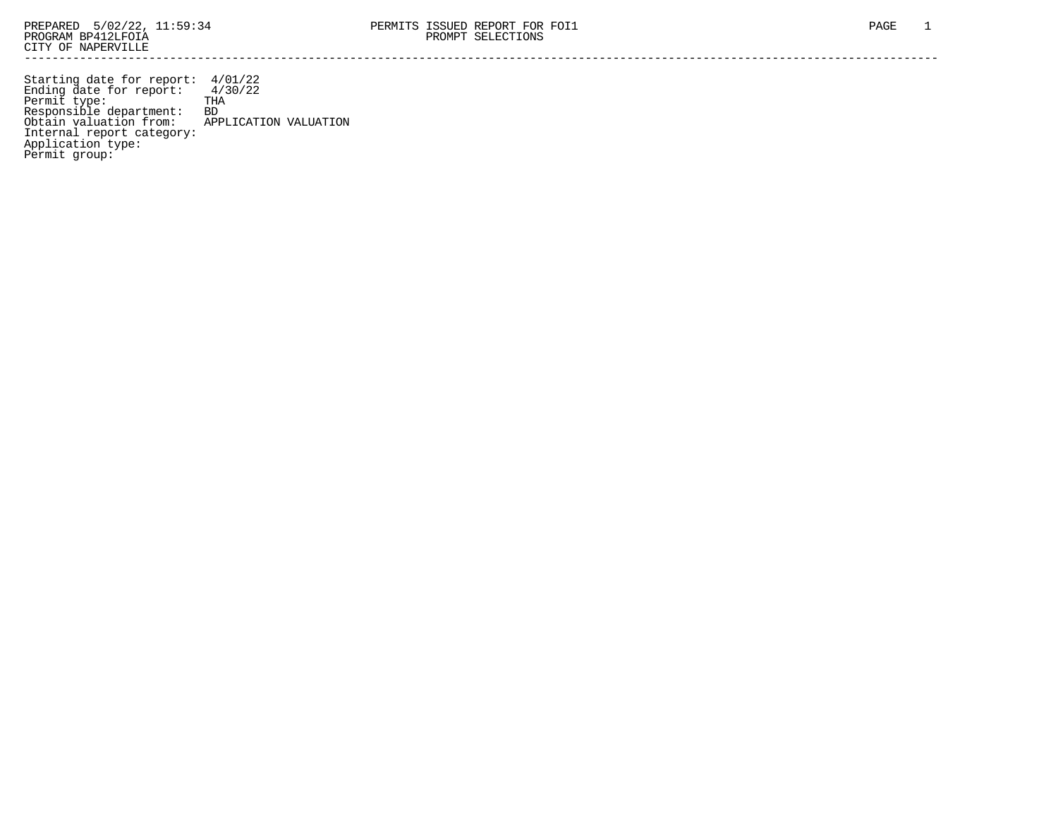Starting date for report: 4/01/22 Ending date for report: 4/30/22 Permit type: THA Responsible department: BD Obtain valuation from: APPLICATION VALUATION Internal report category: Application type: Permit group: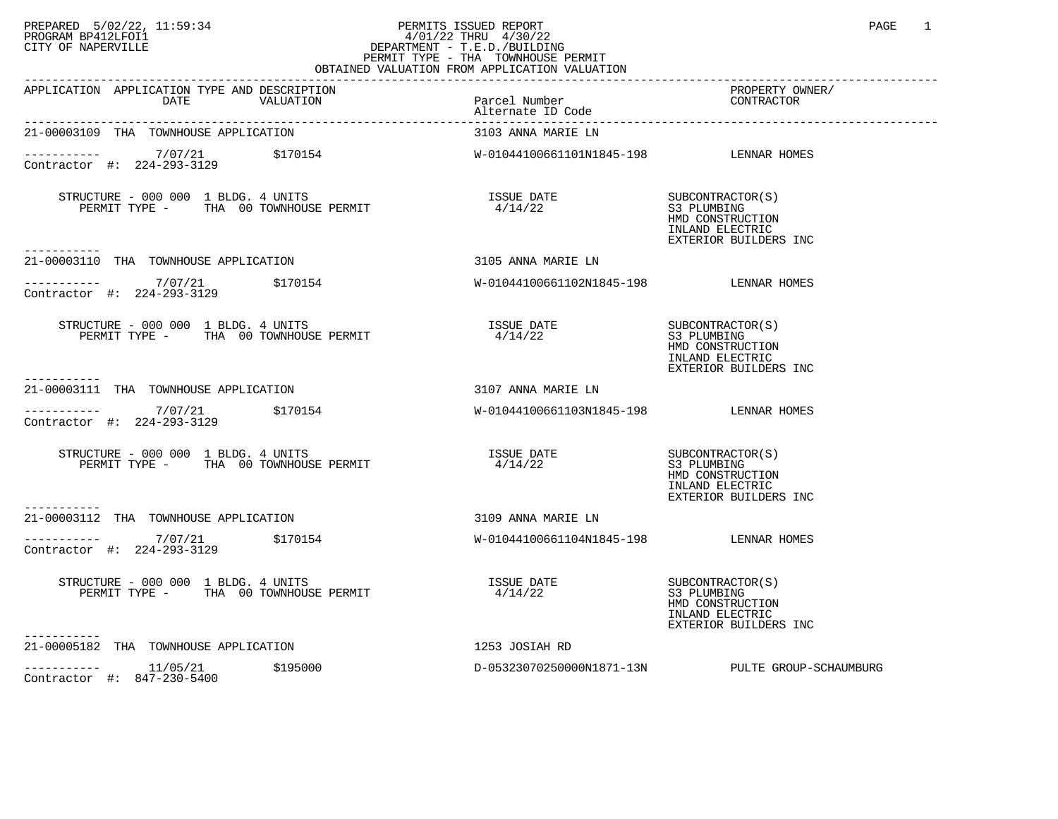# PREPARED 5/02/22, 11:59:34 PERMITS ISSUED REPORT<br>PROGRAM BP412LFOI1 PAGE 1 PROGRAM BP412LFOI1 4/01/22 THRU 4/30/22 CITY OF NAPERVILLE **Example 20** CITY OF NAPERVILLE PERMIT TYPE - THA TOWNHOUSE PERMIT

| OBTAINED VALUATION FROM APPLICATION VALUATION                                                                                                                                                                          |                                        |                                                                                                 |  |  |
|------------------------------------------------------------------------------------------------------------------------------------------------------------------------------------------------------------------------|----------------------------------------|-------------------------------------------------------------------------------------------------|--|--|
| APPLICATION APPLICATION TYPE AND DESCRIPTION<br>THE AND DESCRIPTION<br>VALUATION Parcel Number<br>Alternate ID Code<br>DATE                                                                                            |                                        | PROPERTY OWNER/<br>CONTRACTOR                                                                   |  |  |
| 21-00003109 THA TOWNHOUSE APPLICATION                                                                                                                                                                                  | 3103 ANNA MARIE LN                     |                                                                                                 |  |  |
| ----------- 7/07/21 \$170154<br>Contractor #: 224-293-3129                                                                                                                                                             | W-01044100661101N1845-198 LENNAR HOMES |                                                                                                 |  |  |
| -----------                                                                                                                                                                                                            |                                        | SUBCONTRACTOR(S)<br>S3 PLUMBING<br>HMD CONSTRUCTION<br>INLAND ELECTRIC<br>EXTERIOR BUILDERS INC |  |  |
| 21-00003110 THA TOWNHOUSE APPLICATION                                                                                                                                                                                  | 3105 ANNA MARIE LN                     |                                                                                                 |  |  |
| Contractor #: 224-293-3129                                                                                                                                                                                             |                                        |                                                                                                 |  |  |
| STRUCTURE - 000 000 1 BLDG. 4 UNITS<br>PERMIT TYPE - THA 00 TOWNHOUSE PERMIT                                                                                                                                           | ISSUE DATE<br>4/14/22                  | SUBCONTRACTOR(S)<br>S3 PLUMBING<br>HMD CONSTRUCTION<br>INLAND ELECTRIC<br>EXTERIOR BUILDERS INC |  |  |
| 21-00003111 THA TOWNHOUSE APPLICATION                                                                                                                                                                                  | 3107 ANNA MARIE LN                     |                                                                                                 |  |  |
| $7/07/21$ \$170154<br>Contractor #: 224-293-3129                                                                                                                                                                       | W-01044100661103N1845-198 LENNAR HOMES |                                                                                                 |  |  |
| $\begin{minipage}{0.9\linewidth} \texttt{STRUCTURE} = 000 000 1 \texttt{BLDG.} 4 \texttt{UNITS} \\ \texttt{TTIA} \hspace{0.05in} 00 \hspace{0.05in} \texttt{TOWNHOUSE} \hspace{0.05in} \texttt{PERMIT} \end{minipage}$ | <b>ISSUE DATE</b><br>4/14/22           | SUBCONTRACTOR(S)<br>S3 PLUMBING<br>HMD CONSTRUCTION<br>INLAND ELECTRIC<br>EXTERIOR BUILDERS INC |  |  |
| 21-00003112 THA TOWNHOUSE APPLICATION                                                                                                                                                                                  | 3109 ANNA MARIE LN                     |                                                                                                 |  |  |
| $\frac{7}{07/21}$ \$170154<br>Contractor #: 224-293-3129                                                                                                                                                               | W-01044100661104N1845-198 LENNAR HOMES |                                                                                                 |  |  |
|                                                                                                                                                                                                                        |                                        | SUBCONTRACTOR(S)<br>S3 PLUMBING<br>HMD CONSTRUCTION<br>INLAND ELECTRIC<br>EXTERIOR BUILDERS INC |  |  |
| -----------<br>21-00005182 THA TOWNHOUSE APPLICATION                                                                                                                                                                   | 1253 JOSIAH RD                         |                                                                                                 |  |  |
| \$195000<br>Contractor #: 847-230-5400                                                                                                                                                                                 |                                        | D-05323070250000N1871-13N PULTE GROUP-SCHAUMBURG                                                |  |  |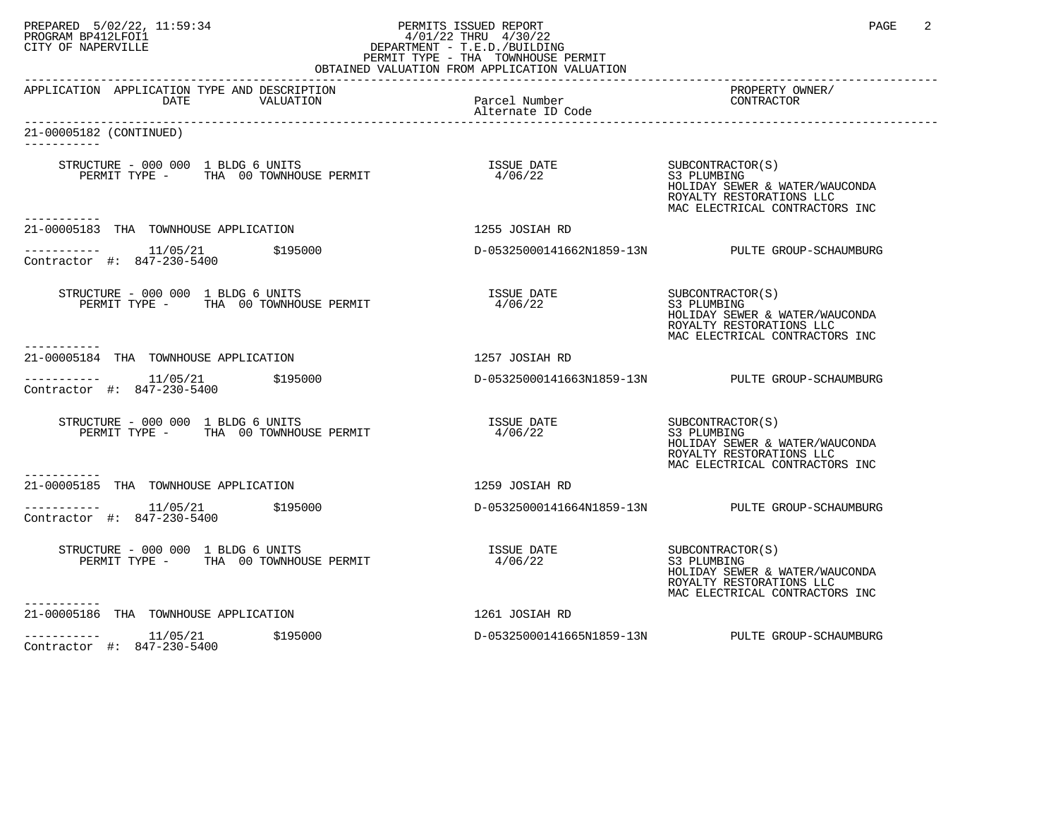# PREPARED 5/02/22, 11:59:34 PERMITS ISSUED REPORT<br>PROGRAM BP412LFOI1 11:59:34 PAGE 2<br>CITY OF NAPERVILLE PROGRAM BP412LFOI1 4/01/22 THRU 4/30/22 CITY OF NAPERVILLE **Example 20** CITY OF NAPERVILLE PERMIT TYPE - THA TOWNHOUSE PERMIT

| OBTAINED VALUATION FROM APPLICATION VALUATION                                            |                                    |                                                                                                                                 |  |  |
|------------------------------------------------------------------------------------------|------------------------------------|---------------------------------------------------------------------------------------------------------------------------------|--|--|
| APPLICATION APPLICATION TYPE AND DESCRIPTION<br>DATE<br>VALUATION                        | Parcel Number<br>Alternate ID Code | PROPERTY OWNER/<br>CONTRACTOR                                                                                                   |  |  |
| 21-00005182 (CONTINUED)                                                                  |                                    |                                                                                                                                 |  |  |
| ----------                                                                               | ISSUE DATE SUBCONTRACTOR(S)        | S3 PLUMBING<br>HOLIDAY SEWER & WATER/WAUCONDA<br>ROYALTY RESTORATIONS LLC<br>MAC ELECTRICAL CONTRACTORS INC                     |  |  |
| 21-00005183 THA TOWNHOUSE APPLICATION                                                    | 1255 JOSIAH RD                     |                                                                                                                                 |  |  |
| ----------- 11/05/21 \$195000<br>Contractor #: 847-230-5400                              |                                    | D-05325000141662N1859-13N PULTE GROUP-SCHAUMBURG                                                                                |  |  |
| STRUCTURE - 000 000 1 BLDG 6 UNITS<br>PERMIT TYPE - THA 00 TOWNHOUSE PERMIT              | ISSUE DATE<br>4/06/22              | SUBCONTRACTOR(S)<br>S3 PLUMBING<br>HOLIDAY SEWER & WATER/WAUCONDA<br>ROYALTY RESTORATIONS LLC<br>MAC ELECTRICAL CONTRACTORS INC |  |  |
| 21-00005184 THA TOWNHOUSE APPLICATION                                                    | 1257 JOSIAH RD                     |                                                                                                                                 |  |  |
| -----------    11/05/21      \$195000<br>Contractor #: 847-230-5400                      |                                    | D-05325000141663N1859-13N PULTE GROUP-SCHAUMBURG                                                                                |  |  |
| STRUCTURE - 000 000 1 BLDG 6 UNITS<br>PERMIT TYPE - THA 00 TOWNHOUSE PERMIT              | <b>ISSUE DATE</b><br>4/06/22       | SUBCONTRACTOR(S)<br>S3 PLUMBING<br>HOLIDAY SEWER & WATER/WAUCONDA<br>ROYALTY RESTORATIONS LLC<br>MAC ELECTRICAL CONTRACTORS INC |  |  |
| ----------<br>21-00005185 THA TOWNHOUSE APPLICATION                                      | 1259 JOSIAH RD                     |                                                                                                                                 |  |  |
| $---------$ 11/05/21 \$195000<br>Contractor #: 847-230-5400                              |                                    | D-05325000141664N1859-13N PULTE GROUP-SCHAUMBURG                                                                                |  |  |
| STRUCTURE - 000 000 1 BLDG 6 UNITS<br>PERMIT TYPE - THA 00 TOWNHOUSE PERMIT<br>--------- | ISSUE DATE<br>4/06/22              | SUBCONTRACTOR(S)<br>S3 PLUMBING<br>HOLIDAY SEWER & WATER/WAUCONDA<br>ROYALTY RESTORATIONS LLC<br>MAC ELECTRICAL CONTRACTORS INC |  |  |
| 21-00005186 THA TOWNHOUSE APPLICATION                                                    | 1261 JOSIAH RD                     |                                                                                                                                 |  |  |
| $---------$ 11/05/21 \$195000<br>Contractor #: 847-230-5400                              |                                    | D-05325000141665N1859-13N PULTE GROUP-SCHAUMBURG                                                                                |  |  |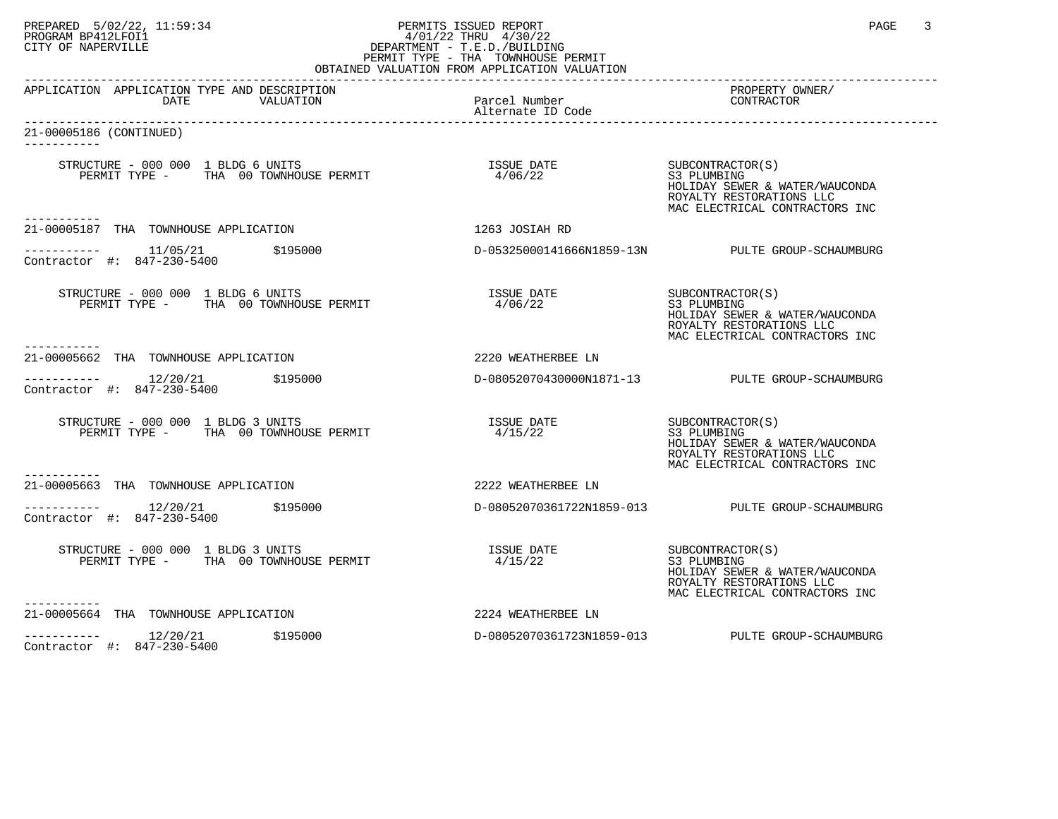# PREPARED 5/02/22, 11:59:34 PERMITS ISSUED REPORT<br>PROGRAM BP412LFOI1 11:59:34 PROGRAM PP412LFOI1 1/1/22 THRU 4/30/22<br>CITY OF NAPERVILLE PROGRAM BP412LFOI1 4/01/22 THRU 4/30/22 CITY OF NAPERVILLE **Example 20** CITY OF NAPERVILLE PERMIT TYPE - THA TOWNHOUSE PERMIT

| OBTAINED VALUATION FROM APPLICATION VALUATION                                                        |                                    |                                                                                                                                 |  |  |
|------------------------------------------------------------------------------------------------------|------------------------------------|---------------------------------------------------------------------------------------------------------------------------------|--|--|
| APPLICATION APPLICATION TYPE AND DESCRIPTION<br>DATE<br>VALUATION                                    | Parcel Number<br>Alternate ID Code | PROPERTY OWNER/<br>CONTRACTOR                                                                                                   |  |  |
| 21-00005186 (CONTINUED)                                                                              |                                    |                                                                                                                                 |  |  |
| ----------                                                                                           | ISSUE DATE SUBCONTRACTOR(S)        | S3 PLUMBING<br>HOLIDAY SEWER & WATER/WAUCONDA<br>ROYALTY RESTORATIONS LLC<br>MAC ELECTRICAL CONTRACTORS INC                     |  |  |
| 21-00005187 THA TOWNHOUSE APPLICATION                                                                | 1263 JOSIAH RD                     |                                                                                                                                 |  |  |
| ----------- 11/05/21 \$195000<br>Contractor #: 847-230-5400                                          |                                    | D-05325000141666N1859-13N PULTE GROUP-SCHAUMBURG                                                                                |  |  |
| STRUCTURE - 000 000 1 BLDG 6 UNITS<br>PERMIT TYPE - THA 00 TOWNHOUSE PERMIT                          | ISSUE DATE<br>4/06/22              | SUBCONTRACTOR(S)<br>S3 PLUMBING<br>HOLIDAY SEWER & WATER/WAUCONDA<br>ROYALTY RESTORATIONS LLC<br>MAC ELECTRICAL CONTRACTORS INC |  |  |
| 21-00005662 THA TOWNHOUSE APPLICATION                                                                | 2220 WEATHERBEE LN                 |                                                                                                                                 |  |  |
| $--------- 12/20/21$<br>\$195000<br>Contractor #: 847-230-5400                                       |                                    | D-08052070430000N1871-13 PULTE GROUP-SCHAUMBURG                                                                                 |  |  |
| STRUCTURE - 000 000 1 BLDG 3 UNITS<br>PERMIT TYPE - THA 00 TOWNHOUSE PERMIT                          | ISSUE DATE<br>4/15/22              | SUBCONTRACTOR(S)<br>S3 PLUMBING<br>HOLIDAY SEWER & WATER/WAUCONDA<br>ROYALTY RESTORATIONS LLC<br>MAC ELECTRICAL CONTRACTORS INC |  |  |
| ----------<br>21-00005663 THA TOWNHOUSE APPLICATION                                                  | 2222 WEATHERBEE LN                 |                                                                                                                                 |  |  |
| Contractor #: 847-230-5400                                                                           |                                    | D-08052070361722N1859-013 PULTE GROUP-SCHAUMBURG                                                                                |  |  |
| STRUCTURE - 000 000 $\frac{1}{T}$ BLDG 3 UNITS<br>$T_{\text{min}}$ 00 TOWNHOUSE PERMIT<br>---------- | <b>ISSUE DATE</b><br>4/15/22       | SUBCONTRACTOR(S)<br>S3 PLUMBING<br>HOLIDAY SEWER & WATER/WAUCONDA<br>ROYALTY RESTORATIONS LLC<br>MAC ELECTRICAL CONTRACTORS INC |  |  |
| 21-00005664 THA TOWNHOUSE APPLICATION                                                                | 2224 WEATHERBEE LN                 |                                                                                                                                 |  |  |
| $---------$ 12/20/21 \$195000<br>Contractor #: 847-230-5400                                          |                                    | D-08052070361723N1859-013 PULTE GROUP-SCHAUMBURG                                                                                |  |  |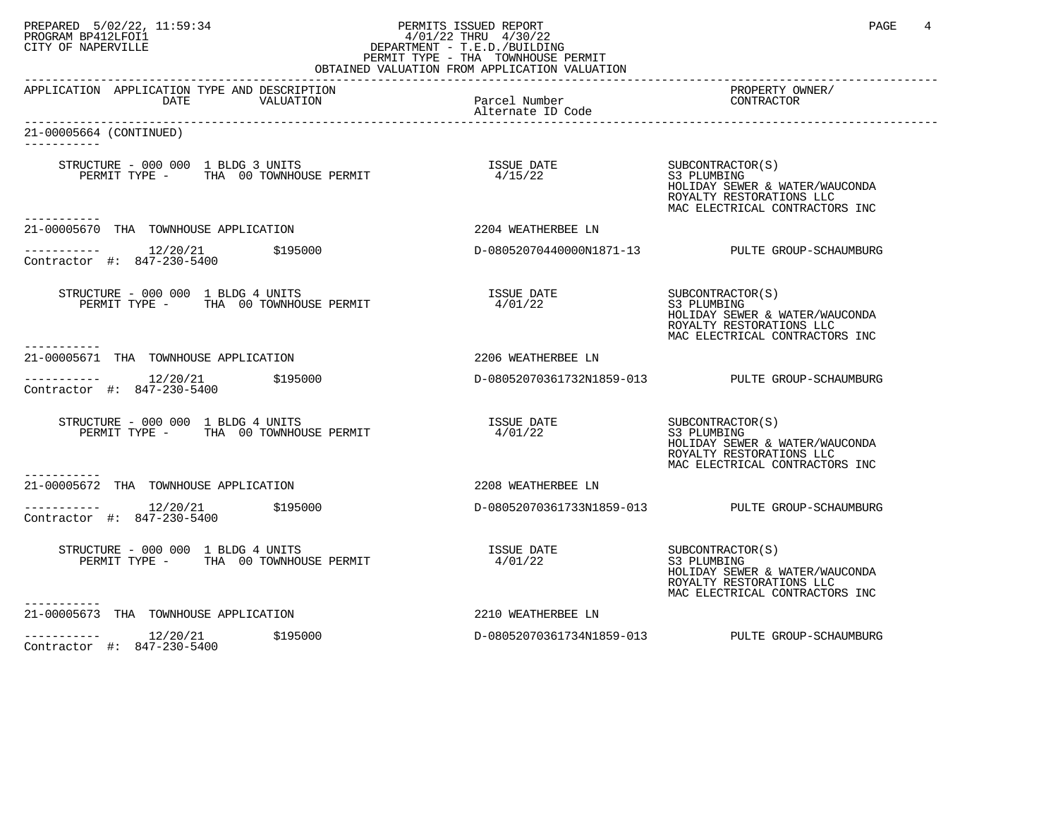# PREPARED 5/02/22, 11:59:34 PERMITS ISSUED REPORT<br>PROGRAM BP412LFOI1 11:59:34 PROGRAM A 4/01/22 THRU 4/30/22<br>CITY OF NAPERVILLE PROGRAM BP412LFOI1 4/01/22 THRU 4/30/22 CITY OF NAPERVILLE **Example 20** CITY OF NAPERVILLE PERMIT TYPE - THA TOWNHOUSE PERMIT

| OBTAINED VALUATION FROM APPLICATION VALUATION                               |                                    |                                                                                                                                 |  |  |
|-----------------------------------------------------------------------------|------------------------------------|---------------------------------------------------------------------------------------------------------------------------------|--|--|
| APPLICATION APPLICATION TYPE AND DESCRIPTION<br>DATE<br>VALUATION           | Parcel Number<br>Alternate ID Code | PROPERTY OWNER/<br>CONTRACTOR                                                                                                   |  |  |
| 21-00005664 (CONTINUED)                                                     |                                    |                                                                                                                                 |  |  |
| ----------                                                                  | ISSUE DATE SUBCONTRACTOR(S)        | S3 PLUMBING<br>HOLIDAY SEWER & WATER/WAUCONDA<br>ROYALTY RESTORATIONS LLC<br>MAC ELECTRICAL CONTRACTORS INC                     |  |  |
| 21-00005670 THA TOWNHOUSE APPLICATION                                       | 2204 WEATHERBEE LN                 |                                                                                                                                 |  |  |
| ---------- 12/20/21 \$195000<br>Contractor #: 847-230-5400                  |                                    | D-08052070440000N1871-13 PULTE GROUP-SCHAUMBURG                                                                                 |  |  |
| STRUCTURE - 000 000 1 BLDG 4 UNITS<br>PERMIT TYPE - THA 00 TOWNHOUSE PERMIT | ISSUE DATE<br>4/01/22              | SUBCONTRACTOR(S)<br>S3 PLUMBING<br>HOLIDAY SEWER & WATER/WAUCONDA<br>ROYALTY RESTORATIONS LLC<br>MAC ELECTRICAL CONTRACTORS INC |  |  |
| 21-00005671 THA TOWNHOUSE APPLICATION                                       | 2206 WEATHERBEE LN                 |                                                                                                                                 |  |  |
| $--------- 12/20/21$<br>\$195000<br>Contractor #: 847-230-5400              |                                    | D-08052070361732N1859-013 PULTE GROUP-SCHAUMBURG                                                                                |  |  |
| STRUCTURE - 000 000 1 BLDG 4 UNITS<br>PERMIT TYPE - THA 00 TOWNHOUSE PERMIT | <b>ISSUE DATE</b><br>4/01/22       | SUBCONTRACTOR(S)<br>S3 PLUMBING<br>HOLIDAY SEWER & WATER/WAUCONDA<br>ROYALTY RESTORATIONS LLC<br>MAC ELECTRICAL CONTRACTORS INC |  |  |
| ----------<br>21-00005672 THA TOWNHOUSE APPLICATION                         | 2208 WEATHERBEE LN                 |                                                                                                                                 |  |  |
| Contractor #: 847-230-5400                                                  |                                    | D-08052070361733N1859-013 PULTE GROUP-SCHAUMBURG                                                                                |  |  |
| STRUCTURE - 000 000 1 BLDG 4 UNITS<br>PERMIT TYPE - THA 00 TOWNHOUSE PERMIT | <b>ISSUE DATE</b><br>4/01/22       | SUBCONTRACTOR(S)<br>S3 PLUMBING<br>HOLIDAY SEWER & WATER/WAUCONDA<br>ROYALTY RESTORATIONS LLC<br>MAC ELECTRICAL CONTRACTORS INC |  |  |
| ----------<br>21-00005673 THA TOWNHOUSE APPLICATION                         | 2210 WEATHERBEE LN                 |                                                                                                                                 |  |  |
| $------ 12/20/21$ \$195000<br>Contractor #: 847-230-5400                    |                                    | D-08052070361734N1859-013 PULTE GROUP-SCHAUMBURG                                                                                |  |  |